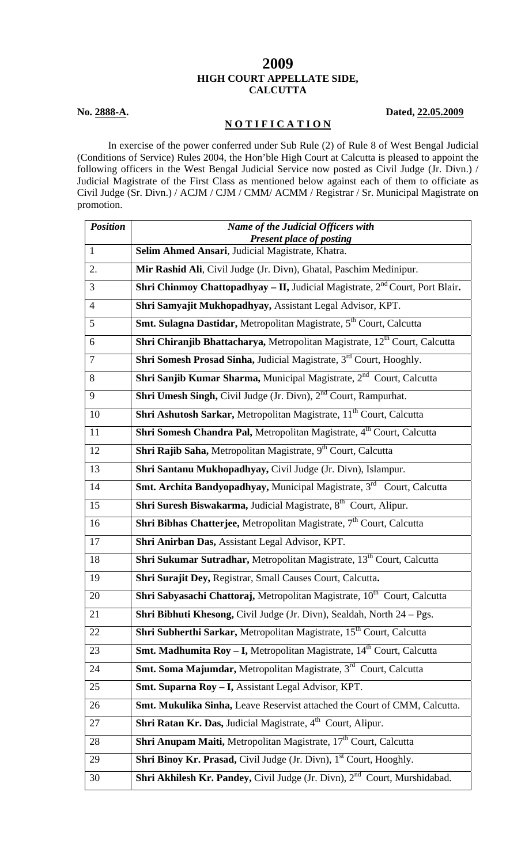## **2009 HIGH COURT APPELLATE SIDE, CALCUTTA**

## **N O T I F I C A T I O N**

**No. 2888-A. Dated, 22.05.2009** 

 In exercise of the power conferred under Sub Rule (2) of Rule 8 of West Bengal Judicial (Conditions of Service) Rules 2004, the Hon'ble High Court at Calcutta is pleased to appoint the following officers in the West Bengal Judicial Service now posted as Civil Judge (Jr. Divn.) / Judicial Magistrate of the First Class as mentioned below against each of them to officiate as Civil Judge (Sr. Divn.) / ACJM / CJM / CMM/ ACMM / Registrar / Sr. Municipal Magistrate on promotion.

| <b>Position</b> | Name of the Judicial Officers with                                                                  |
|-----------------|-----------------------------------------------------------------------------------------------------|
| $\mathbf{1}$    | <b>Present place of posting</b><br>Selim Ahmed Ansari, Judicial Magistrate, Khatra.                 |
|                 |                                                                                                     |
| 2.              | Mir Rashid Ali, Civil Judge (Jr. Divn), Ghatal, Paschim Medinipur.                                  |
| 3               | <b>Shri Chinmoy Chattopadhyay – II, Judicial Magistrate, <math>2^{nd}</math> Court, Port Blair.</b> |
| $\overline{4}$  | Shri Samyajit Mukhopadhyay, Assistant Legal Advisor, KPT.                                           |
| 5               | Smt. Sulagna Dastidar, Metropolitan Magistrate, 5 <sup>th</sup> Court, Calcutta                     |
| 6               | Shri Chiranjib Bhattacharya, Metropolitan Magistrate, 12 <sup>th</sup> Court, Calcutta              |
| $\overline{7}$  | Shri Somesh Prosad Sinha, Judicial Magistrate, 3 <sup>rd</sup> Court, Hooghly.                      |
| 8               | Shri Sanjib Kumar Sharma, Municipal Magistrate, 2 <sup>nd</sup> Court, Calcutta                     |
| 9               | Shri Umesh Singh, Civil Judge (Jr. Divn), 2 <sup>nd</sup> Court, Rampurhat.                         |
| 10              | Shri Ashutosh Sarkar, Metropolitan Magistrate, 11 <sup>th</sup> Court, Calcutta                     |
| 11              | Shri Somesh Chandra Pal, Metropolitan Magistrate, 4 <sup>th</sup> Court, Calcutta                   |
| 12              | Shri Rajib Saha, Metropolitan Magistrate, 9 <sup>th</sup> Court, Calcutta                           |
| 13              | Shri Santanu Mukhopadhyay, Civil Judge (Jr. Divn), Islampur.                                        |
| 14              | Smt. Archita Bandyopadhyay, Municipal Magistrate, 3rd Court, Calcutta                               |
| 15              | Shri Suresh Biswakarma, Judicial Magistrate, 8 <sup>th</sup> Court, Alipur.                         |
| 16              | Shri Bibhas Chatterjee, Metropolitan Magistrate, 7 <sup>th</sup> Court, Calcutta                    |
| 17              | Shri Anirban Das, Assistant Legal Advisor, KPT.                                                     |
| 18              | Shri Sukumar Sutradhar, Metropolitan Magistrate, 13 <sup>th</sup> Court, Calcutta                   |
| 19              | Shri Surajit Dey, Registrar, Small Causes Court, Calcutta.                                          |
| 20              | Shri Sabyasachi Chattoraj, Metropolitan Magistrate, 10 <sup>th</sup> Court, Calcutta                |
| 21              | Shri Bibhuti Khesong, Civil Judge (Jr. Divn), Sealdah, North 24 – Pgs.                              |
| 22              | Shri Subherthi Sarkar, Metropolitan Magistrate, 15 <sup>th</sup> Court, Calcutta                    |
| 23              | <b>Smt. Madhumita Roy – I, Metropolitan Magistrate, 14<sup>th</sup> Court, Calcutta</b>             |
| 24              | Smt. Soma Majumdar, Metropolitan Magistrate, 3rd Court, Calcutta                                    |
| 25              | Smt. Suparna Roy - I, Assistant Legal Advisor, KPT.                                                 |
| 26              | Smt. Mukulika Sinha, Leave Reservist attached the Court of CMM, Calcutta.                           |
| 27              | Shri Ratan Kr. Das, Judicial Magistrate, 4 <sup>th</sup> Court, Alipur.                             |
| 28              | Shri Anupam Maiti, Metropolitan Magistrate, 17 <sup>th</sup> Court, Calcutta                        |
| 29              | Shri Binoy Kr. Prasad, Civil Judge (Jr. Divn), 1 <sup>st</sup> Court, Hooghly.                      |
| 30              | Shri Akhilesh Kr. Pandey, Civil Judge (Jr. Divn), 2 <sup>nd</sup> Court, Murshidabad.               |